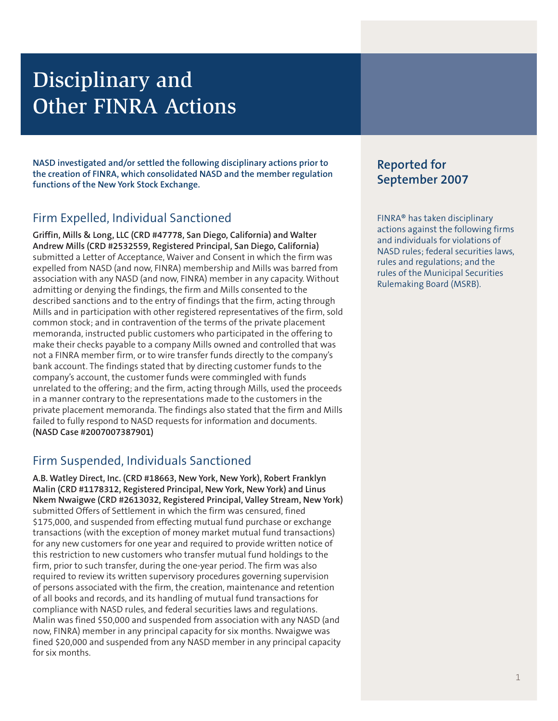# Disciplinary and Other FINRA Actions

**NASD investigated and/or settled the following disciplinary actions prior to the creation of FINRA, which consolidated NASD and the member regulation functions of the New York Stock Exchange.**

# Firm Expelled, Individual Sanctioned

**Griffin, Mills & Long, LLC (CRD #47778, San Diego, California) and Walter Andrew Mills (CRD #2532559, Registered Principal, San Diego, California)** submitted a Letter of Acceptance, Waiver and Consent in which the firm was expelled from NASD (and now, FINRA) membership and Mills was barred from association with any NASD (and now, FINRA) member in any capacity. Without admitting or denying the findings, the firm and Mills consented to the described sanctions and to the entry of findings that the firm, acting through Mills and in participation with other registered representatives of the firm, sold common stock; and in contravention of the terms of the private placement memoranda, instructed public customers who participated in the offering to make their checks payable to a company Mills owned and controlled that was not a FINRA member firm, or to wire transfer funds directly to the company's bank account. The findings stated that by directing customer funds to the company's account, the customer funds were commingled with funds unrelated to the offering; and the firm, acting through Mills, used the proceeds in a manner contrary to the representations made to the customers in the private placement memoranda. The findings also stated that the firm and Mills failed to fully respond to NASD requests for information and documents. **(NASD Case #2007007387901)**

# Firm Suspended, Individuals Sanctioned

**A.B. Watley Direct, Inc. (CRD #18663, New York, New York), Robert Franklyn Malin (CRD #1178312, Registered Principal, New York, New York) and Linus Nkem Nwaigwe (CRD #2613032, Registered Principal, Valley Stream, New York)** submitted Offers of Settlement in which the firm was censured, fined \$175,000, and suspended from effecting mutual fund purchase or exchange transactions (with the exception of money market mutual fund transactions) for any new customers for one year and required to provide written notice of this restriction to new customers who transfer mutual fund holdings to the firm, prior to such transfer, during the one-year period. The firm was also required to review its written supervisory procedures governing supervision of persons associated with the firm, the creation, maintenance and retention of all books and records, and its handling of mutual fund transactions for compliance with NASD rules, and federal securities laws and regulations. Malin was fined \$50,000 and suspended from association with any NASD (and now, FINRA) member in any principal capacity for six months. Nwaigwe was fined \$20,000 and suspended from any NASD member in any principal capacity for six months.

# **Reported for September 2007**

FINRA® has taken disciplinary actions against the following firms and individuals for violations of NASD rules; federal securities laws, rules and regulations; and the rules of the Municipal Securities Rulemaking Board (MSRB).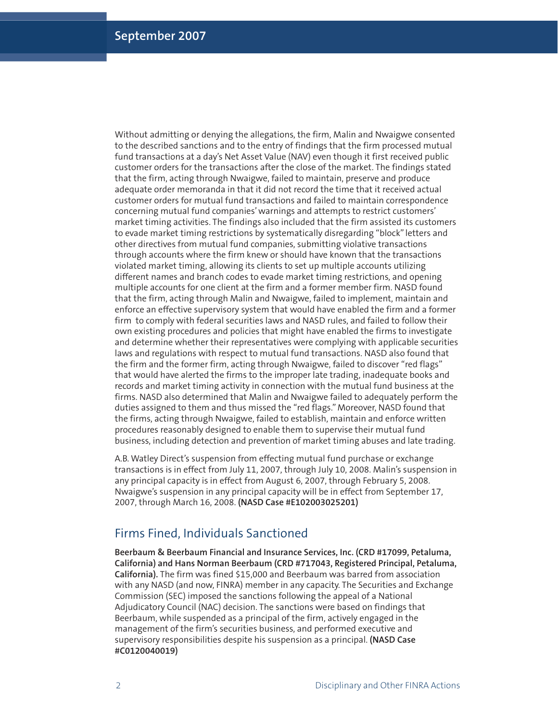Without admitting or denying the allegations, the firm, Malin and Nwaigwe consented to the described sanctions and to the entry of findings that the firm processed mutual fund transactions at a day's Net Asset Value (NAV) even though it first received public customer orders for the transactions after the close of the market. The findings stated that the firm, acting through Nwaigwe, failed to maintain, preserve and produce adequate order memoranda in that it did not record the time that it received actual customer orders for mutual fund transactions and failed to maintain correspondence concerning mutual fund companies'warnings and attempts to restrict customers' market timing activities. The findings also included that the firm assisted its customers to evade market timing restrictions by systematically disregarding "block" letters and other directives from mutual fund companies, submitting violative transactions through accounts where the firm knew or should have known that the transactions violated market timing, allowing its clients to set up multiple accounts utilizing different names and branch codes to evade market timing restrictions, and opening multiple accounts for one client at the firm and a former member firm. NASD found that the firm, acting through Malin and Nwaigwe, failed to implement, maintain and enforce an effective supervisory system that would have enabled the firm and a former firm to comply with federal securities laws and NASD rules, and failed to follow their own existing procedures and policies that might have enabled the firms to investigate and determine whether their representatives were complying with applicable securities laws and regulations with respect to mutual fund transactions. NASD also found that the firm and the former firm, acting through Nwaigwe, failed to discover "red flags" that would have alerted the firms to the improper late trading, inadequate books and records and market timing activity in connection with the mutual fund business at the firms. NASD also determined that Malin and Nwaigwe failed to adequately perform the duties assigned to them and thus missed the "red flags." Moreover, NASD found that the firms, acting through Nwaigwe, failed to establish, maintain and enforce written procedures reasonably designed to enable them to supervise their mutual fund business, including detection and prevention of market timing abuses and late trading.

A.B. Watley Direct's suspension from effecting mutual fund purchase or exchange transactions is in effect from July 11, 2007, through July 10, 2008. Malin's suspension in any principal capacity is in effect from August 6, 2007, through February 5, 2008. Nwaigwe's suspension in any principal capacity will be in effect from September 17, 2007, through March 16, 2008. **(NASD Case #E102003025201)**

## Firms Fined, Individuals Sanctioned

**Beerbaum & Beerbaum Financial and Insurance Services, Inc. (CRD #17099, Petaluma, California) and Hans Norman Beerbaum (CRD #717043, Registered Principal, Petaluma, California).** The firm was fined \$15,000 and Beerbaum was barred from association with any NASD (and now, FINRA) member in any capacity. The Securities and Exchange Commission (SEC) imposed the sanctions following the appeal of a National Adjudicatory Council (NAC) decision. The sanctions were based on findings that Beerbaum, while suspended as a principal of the firm, actively engaged in the management of the firm's securities business, and performed executive and supervisory responsibilities despite his suspension as a principal. **(NASD Case #C0120040019)**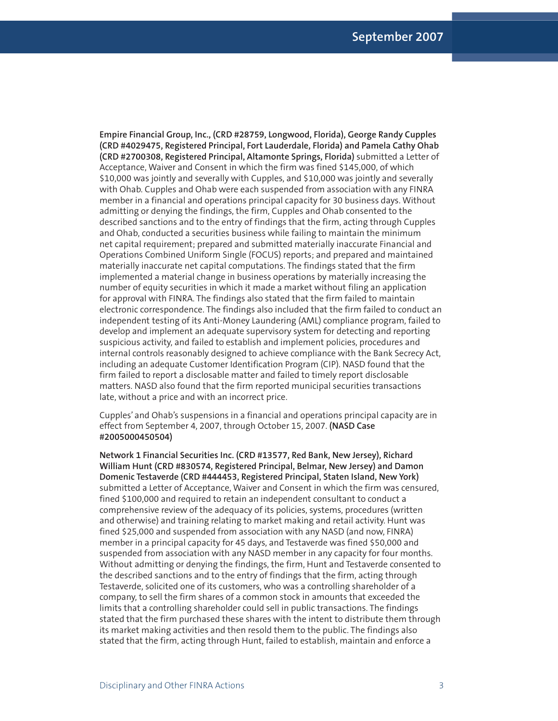**Empire Financial Group, Inc., (CRD #28759, Longwood, Florida), George Randy Cupples (CRD #4029475, Registered Principal, Fort Lauderdale, Florida) and Pamela Cathy Ohab (CRD #2700308, Registered Principal, Altamonte Springs, Florida)** submitted a Letter of Acceptance, Waiver and Consent in which the firm was fined \$145,000, of which \$10,000 was jointly and severally with Cupples, and \$10,000 was jointly and severally with Ohab. Cupples and Ohab were each suspended from association with any FINRA member in a financial and operations principal capacity for 30 business days. Without admitting or denying the findings, the firm, Cupples and Ohab consented to the described sanctions and to the entry of findings that the firm, acting through Cupples and Ohab, conducted a securities business while failing to maintain the minimum net capital requirement; prepared and submitted materially inaccurate Financial and Operations Combined Uniform Single (FOCUS) reports; and prepared and maintained materially inaccurate net capital computations. The findings stated that the firm implemented a material change in business operations by materially increasing the number of equity securities in which it made a market without filing an application for approval with FINRA. The findings also stated that the firm failed to maintain electronic correspondence. The findings also included that the firm failed to conduct an independent testing of its Anti-Money Laundering (AML) compliance program, failed to develop and implement an adequate supervisory system for detecting and reporting suspicious activity, and failed to establish and implement policies, procedures and internal controls reasonably designed to achieve compliance with the Bank Secrecy Act, including an adequate Customer Identification Program (CIP). NASD found that the firm failed to report a disclosable matter and failed to timely report disclosable matters. NASD also found that the firm reported municipal securities transactions late, without a price and with an incorrect price.

Cupples' and Ohab's suspensions in a financial and operations principal capacity are in effect from September 4, 2007, through October 15, 2007. **(NASD Case #2005000450504)**

**Network 1 Financial Securities Inc. (CRD #13577, Red Bank, New Jersey), Richard William Hunt (CRD #830574, Registered Principal, Belmar, New Jersey) and Damon Domenic Testaverde (CRD #444453, Registered Principal, Staten Island, New York)** submitted a Letter of Acceptance, Waiver and Consent in which the firm was censured, fined \$100,000 and required to retain an independent consultant to conduct a comprehensive review of the adequacy of its policies, systems, procedures (written and otherwise) and training relating to market making and retail activity. Hunt was fined \$25,000 and suspended from association with any NASD (and now, FINRA) member in a principal capacity for 45 days, and Testaverde was fined \$50,000 and suspended from association with any NASD member in any capacity for four months. Without admitting or denying the findings, the firm, Hunt and Testaverde consented to the described sanctions and to the entry of findings that the firm, acting through Testaverde, solicited one of its customers, who was a controlling shareholder of a company, to sell the firm shares of a common stock in amounts that exceeded the limits that a controlling shareholder could sell in public transactions. The findings stated that the firm purchased these shares with the intent to distribute them through its market making activities and then resold them to the public. The findings also stated that the firm, acting through Hunt, failed to establish, maintain and enforce a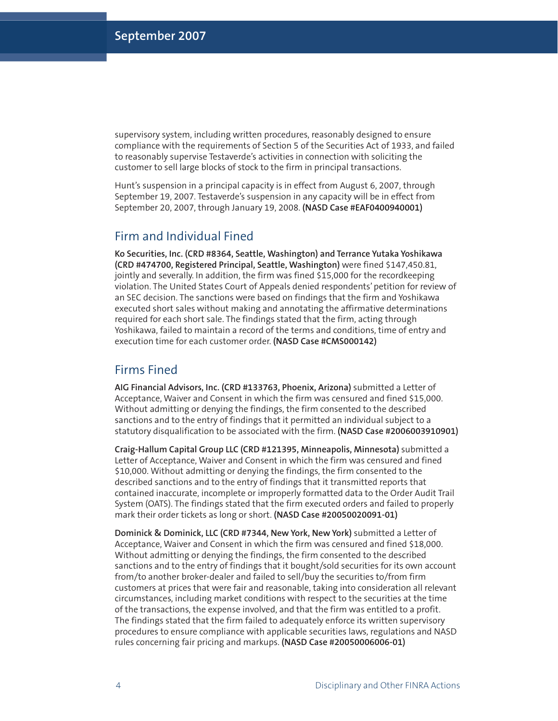supervisory system, including written procedures, reasonably designed to ensure compliance with the requirements of Section 5 of the Securities Act of 1933, and failed to reasonably supervise Testaverde's activities in connection with soliciting the customer to sell large blocks of stock to the firm in principal transactions.

Hunt's suspension in a principal capacity is in effect from August 6, 2007, through September 19, 2007. Testaverde's suspension in any capacity will be in effect from September 20, 2007, through January 19, 2008. **(NASD Case #EAF0400940001)**

## Firm and Individual Fined

**Ko Securities, Inc. (CRD #8364, Seattle, Washington) and Terrance Yutaka Yoshikawa (CRD #474700, Registered Principal, Seattle, Washington)** were fined \$147,450.81, jointly and severally. In addition, the firm was fined \$15,000 for the recordkeeping violation. The United States Court of Appeals denied respondents' petition for review of an SEC decision. The sanctions were based on findings that the firm and Yoshikawa executed short sales without making and annotating the affirmative determinations required for each short sale. The findings stated that the firm, acting through Yoshikawa, failed to maintain a record of the terms and conditions, time of entry and execution time for each customer order. **(NASD Case #CMS000142)**

## Firms Fined

**AIG Financial Advisors, Inc. (CRD #133763, Phoenix, Arizona)** submitted a Letter of Acceptance, Waiver and Consent in which the firm was censured and fined \$15,000. Without admitting or denying the findings, the firm consented to the described sanctions and to the entry of findings that it permitted an individual subject to a statutory disqualification to be associated with the firm. **(NASD Case #2006003910901)**

**Craig-Hallum Capital Group LLC (CRD #121395, Minneapolis, Minnesota)** submitted a Letter of Acceptance, Waiver and Consent in which the firm was censured and fined \$10,000. Without admitting or denying the findings, the firm consented to the described sanctions and to the entry of findings that it transmitted reports that contained inaccurate, incomplete or improperly formatted data to the Order Audit Trail System (OATS). The findings stated that the firm executed orders and failed to properly mark their order tickets as long or short. **(NASD Case #20050020091-01)**

**Dominick & Dominick, LLC (CRD #7344, New York, New York)** submitted a Letter of Acceptance, Waiver and Consent in which the firm was censured and fined \$18,000. Without admitting or denying the findings, the firm consented to the described sanctions and to the entry of findings that it bought/sold securities for its own account from/to another broker-dealer and failed to sell/buy the securities to/from firm customers at prices that were fair and reasonable, taking into consideration all relevant circumstances, including market conditions with respect to the securities at the time of the transactions, the expense involved, and that the firm was entitled to a profit. The findings stated that the firm failed to adequately enforce its written supervisory procedures to ensure compliance with applicable securities laws, regulations and NASD rules concerning fair pricing and markups. **(NASD Case #20050006006-01)**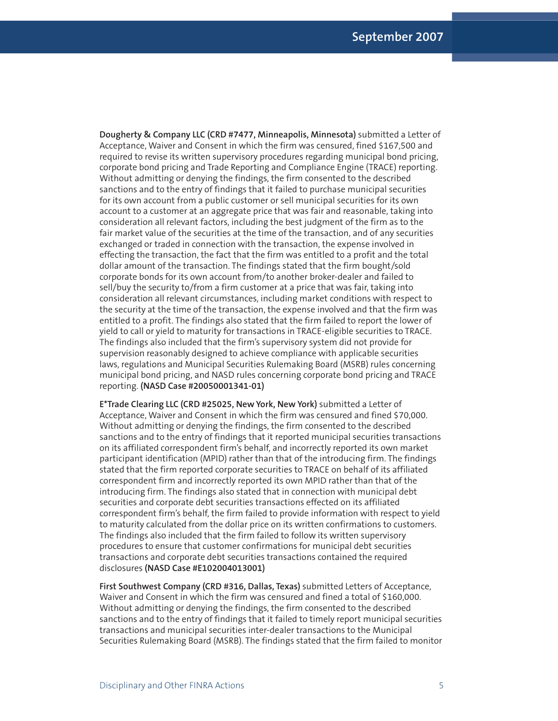**Dougherty & Company LLC (CRD #7477, Minneapolis, Minnesota)** submitted a Letter of Acceptance, Waiver and Consent in which the firm was censured, fined \$167,500 and required to revise its written supervisory procedures regarding municipal bond pricing, corporate bond pricing and Trade Reporting and Compliance Engine (TRACE) reporting. Without admitting or denying the findings, the firm consented to the described sanctions and to the entry of findings that it failed to purchase municipal securities for its own account from a public customer or sell municipal securities for its own account to a customer at an aggregate price that was fair and reasonable, taking into consideration all relevant factors, including the best judgment of the firm as to the fair market value of the securities at the time of the transaction, and of any securities exchanged or traded in connection with the transaction, the expense involved in effecting the transaction, the fact that the firm was entitled to a profit and the total dollar amount of the transaction. The findings stated that the firm bought/sold corporate bonds for its own account from/to another broker-dealer and failed to sell/buy the security to/from a firm customer at a price that was fair, taking into consideration all relevant circumstances, including market conditions with respect to the security at the time of the transaction, the expense involved and that the firm was entitled to a profit. The findings also stated that the firm failed to report the lower of yield to call or yield to maturity for transactions in TRACE-eligible securities to TRACE. The findings also included that the firm's supervisory system did not provide for supervision reasonably designed to achieve compliance with applicable securities laws, regulations and Municipal Securities Rulemaking Board (MSRB) rules concerning municipal bond pricing, and NASD rules concerning corporate bond pricing and TRACE reporting. **(NASD Case #20050001341-01)**

**E\*Trade Clearing LLC (CRD #25025, New York, New York)** submitted a Letter of Acceptance, Waiver and Consent in which the firm was censured and fined \$70,000. Without admitting or denying the findings, the firm consented to the described sanctions and to the entry of findings that it reported municipal securities transactions on its affiliated correspondent firm's behalf, and incorrectly reported its own market participant identification (MPID) rather than that of the introducing firm. The findings stated that the firm reported corporate securities to TRACE on behalf of its affiliated correspondent firm and incorrectly reported its own MPID rather than that of the introducing firm. The findings also stated that in connection with municipal debt securities and corporate debt securities transactions effected on its affiliated correspondent firm's behalf, the firm failed to provide information with respect to yield to maturity calculated from the dollar price on its written confirmations to customers. The findings also included that the firm failed to follow its written supervisory procedures to ensure that customer confirmations for municipal debt securities transactions and corporate debt securities transactions contained the required disclosures **(NASD Case #E102004013001)**

**First Southwest Company (CRD #316, Dallas, Texas)** submitted Letters of Acceptance, Waiver and Consent in which the firm was censured and fined a total of \$160,000. Without admitting or denying the findings, the firm consented to the described sanctions and to the entry of findings that it failed to timely report municipal securities transactions and municipal securities inter-dealer transactions to the Municipal Securities Rulemaking Board (MSRB). The findings stated that the firm failed to monitor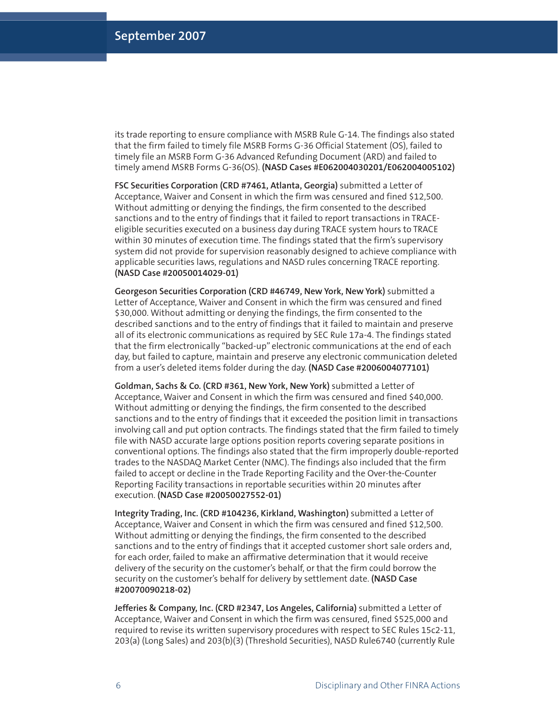its trade reporting to ensure compliance with MSRB Rule G-14. The findings also stated that the firm failed to timely file MSRB Forms G-36 Official Statement (OS), failed to timely file an MSRB Form G-36 Advanced Refunding Document (ARD) and failed to timely amend MSRB Forms G-36(OS). **(NASD Cases #E062004030201/E062004005102)**

**FSC Securities Corporation (CRD #7461, Atlanta, Georgia)** submitted a Letter of Acceptance, Waiver and Consent in which the firm was censured and fined \$12,500. Without admitting or denying the findings, the firm consented to the described sanctions and to the entry of findings that it failed to report transactions in TRACEeligible securities executed on a business day during TRACE system hours to TRACE within 30 minutes of execution time. The findings stated that the firm's supervisory system did not provide for supervision reasonably designed to achieve compliance with applicable securities laws, regulations and NASD rules concerning TRACE reporting. **(NASD Case #20050014029-01)**

**Georgeson Securities Corporation (CRD #46749, New York, New York)** submitted a Letter of Acceptance, Waiver and Consent in which the firm was censured and fined \$30,000. Without admitting or denying the findings, the firm consented to the described sanctions and to the entry of findings that it failed to maintain and preserve all of its electronic communications as required by SEC Rule 17a-4. The findings stated that the firm electronically "backed-up" electronic communications at the end of each day, but failed to capture, maintain and preserve any electronic communication deleted from a user's deleted items folder during the day. **(NASD Case #2006004077101)**

**Goldman, Sachs & Co. (CRD #361, New York, New York)** submitted a Letter of Acceptance, Waiver and Consent in which the firm was censured and fined \$40,000. Without admitting or denying the findings, the firm consented to the described sanctions and to the entry of findings that it exceeded the position limit in transactions involving call and put option contracts. The findings stated that the firm failed to timely file with NASD accurate large options position reports covering separate positions in conventional options. The findings also stated that the firm improperly double-reported trades to the NASDAQ Market Center (NMC). The findings also included that the firm failed to accept or decline in the Trade Reporting Facility and the Over-the-Counter Reporting Facility transactions in reportable securities within 20 minutes after execution. **(NASD Case #20050027552-01)**

**Integrity Trading, Inc. (CRD #104236, Kirkland, Washington)** submitted a Letter of Acceptance, Waiver and Consent in which the firm was censured and fined \$12,500. Without admitting or denying the findings, the firm consented to the described sanctions and to the entry of findings that it accepted customer short sale orders and, for each order, failed to make an affirmative determination that it would receive delivery of the security on the customer's behalf, or that the firm could borrow the security on the customer's behalf for delivery by settlement date. **(NASD Case #20070090218-02)**

**Jefferies & Company, Inc. (CRD #2347, Los Angeles, California)** submitted a Letter of Acceptance, Waiver and Consent in which the firm was censured, fined \$525,000 and required to revise its written supervisory procedures with respect to SEC Rules 15c2-11, 203(a) (Long Sales) and 203(b)(3) (Threshold Securities), NASD Rule6740 (currently Rule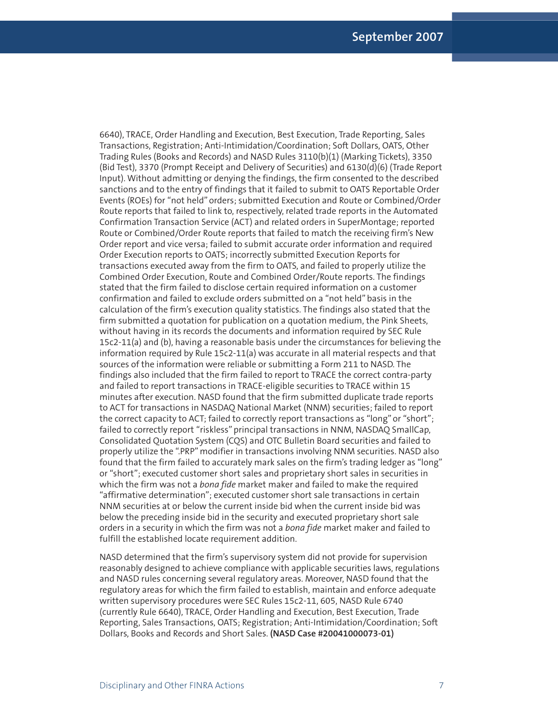6640), TRACE, Order Handling and Execution, Best Execution, Trade Reporting, Sales Transactions, Registration; Anti-Intimidation/Coordination; Soft Dollars, OATS, Other Trading Rules (Books and Records) and NASD Rules 3110(b)(1) (Marking Tickets), 3350 (Bid Test), 3370 (Prompt Receipt and Delivery of Securities) and 6130(d)(6) (Trade Report Input). Without admitting or denying the findings, the firm consented to the described sanctions and to the entry of findings that it failed to submit to OATS Reportable Order Events (ROEs) for "not held" orders; submitted Execution and Route or Combined/Order Route reports that failed to link to, respectively, related trade reports in the Automated Confirmation Transaction Service (ACT) and related orders in SuperMontage; reported Route or Combined/Order Route reports that failed to match the receiving firm's New Order report and vice versa; failed to submit accurate order information and required Order Execution reports to OATS; incorrectly submitted Execution Reports for transactions executed away from the firm to OATS, and failed to properly utilize the Combined Order Execution, Route and Combined Order/Route reports. The findings stated that the firm failed to disclose certain required information on a customer confirmation and failed to exclude orders submitted on a "not held" basis in the calculation of the firm's execution quality statistics. The findings also stated that the firm submitted a quotation for publication on a quotation medium, the Pink Sheets, without having in its records the documents and information required by SEC Rule 15c2-11(a) and (b), having a reasonable basis under the circumstances for believing the information required by Rule 15c2-11(a) was accurate in all material respects and that sources of the information were reliable or submitting a Form 211 to NASD. The findings also included that the firm failed to report to TRACE the correct contra-party and failed to report transactions in TRACE-eligible securities to TRACE within 15 minutes after execution. NASD found that the firm submitted duplicate trade reports to ACT for transactions in NASDAQ National Market (NNM) securities; failed to report the correct capacity to ACT; failed to correctly report transactions as "long" or "short"; failed to correctly report "riskless" principal transactions in NNM, NASDAQ SmallCap, Consolidated Quotation System (CQS) and OTC Bulletin Board securities and failed to properly utilize the ".PRP"modifier in transactions involving NNM securities. NASD also found that the firm failed to accurately mark sales on the firm's trading ledger as "long" or "short"; executed customer short sales and proprietary short sales in securities in which the firm was not a *bona fide* market maker and failed to make the required "affirmative determination"; executed customer short sale transactions in certain NNM securities at or below the current inside bid when the current inside bid was below the preceding inside bid in the security and executed proprietary short sale orders in a security in which the firm was not a *bona fide* market maker and failed to fulfill the established locate requirement addition.

NASD determined that the firm's supervisory system did not provide for supervision reasonably designed to achieve compliance with applicable securities laws, regulations and NASD rules concerning several regulatory areas. Moreover, NASD found that the regulatory areas for which the firm failed to establish, maintain and enforce adequate written supervisory procedures were SEC Rules 15c2-11, 605, NASD Rule 6740 (currently Rule 6640), TRACE, Order Handling and Execution, Best Execution, Trade Reporting, Sales Transactions, OATS; Registration; Anti-Intimidation/Coordination; Soft Dollars, Books and Records and Short Sales. **(NASD Case #20041000073-01)**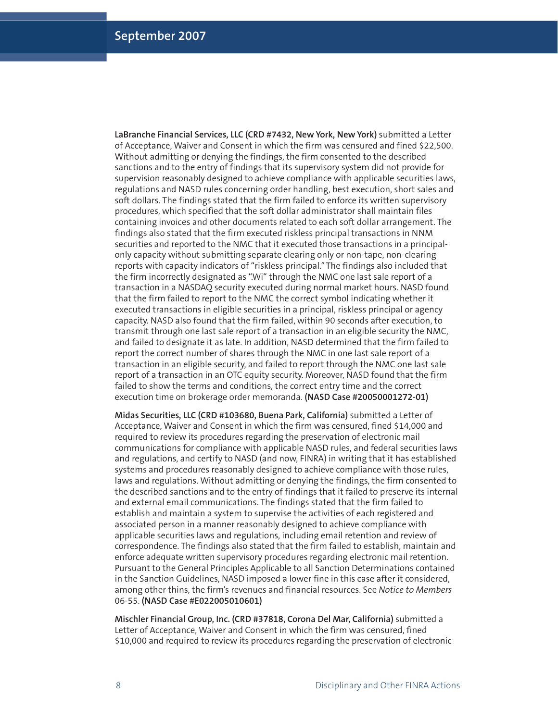**LaBranche Financial Services, LLC (CRD #7432, New York, New York)** submitted a Letter of Acceptance, Waiver and Consent in which the firm was censured and fined \$22,500. Without admitting or denying the findings, the firm consented to the described sanctions and to the entry of findings that its supervisory system did not provide for supervision reasonably designed to achieve compliance with applicable securities laws, regulations and NASD rules concerning order handling, best execution, short sales and soft dollars. The findings stated that the firm failed to enforce its written supervisory procedures, which specified that the soft dollar administrator shall maintain files containing invoices and other documents related to each soft dollar arrangement. The findings also stated that the firm executed riskless principal transactions in NNM securities and reported to the NMC that it executed those transactions in a principalonly capacity without submitting separate clearing only or non-tape, non-clearing reports with capacity indicators of "riskless principal."The findings also included that the firm incorrectly designated as ".Wi" through the NMC one last sale report of a transaction in a NASDAQ security executed during normal market hours. NASD found that the firm failed to report to the NMC the correct symbol indicating whether it executed transactions in eligible securities in a principal, riskless principal or agency capacity. NASD also found that the firm failed, within 90 seconds after execution, to transmit through one last sale report of a transaction in an eligible security the NMC, and failed to designate it as late. In addition, NASD determined that the firm failed to report the correct number of shares through the NMC in one last sale report of a transaction in an eligible security, and failed to report through the NMC one last sale report of a transaction in an OTC equity security. Moreover, NASD found that the firm failed to show the terms and conditions, the correct entry time and the correct execution time on brokerage order memoranda. **(NASD Case #20050001272-01)**

**Midas Securities, LLC (CRD #103680, Buena Park, California)** submitted a Letter of Acceptance, Waiver and Consent in which the firm was censured, fined \$14,000 and required to review its procedures regarding the preservation of electronic mail communications for compliance with applicable NASD rules, and federal securities laws and regulations, and certify to NASD (and now, FINRA) in writing that it has established systems and procedures reasonably designed to achieve compliance with those rules, laws and regulations. Without admitting or denying the findings, the firm consented to the described sanctions and to the entry of findings that it failed to preserve its internal and external email communications. The findings stated that the firm failed to establish and maintain a system to supervise the activities of each registered and associated person in a manner reasonably designed to achieve compliance with applicable securities laws and regulations, including email retention and review of correspondence. The findings also stated that the firm failed to establish, maintain and enforce adequate written supervisory procedures regarding electronic mail retention. Pursuant to the General Principles Applicable to all Sanction Determinations contained in the Sanction Guidelines, NASD imposed a lower fine in this case after it considered, among other thins, the firm's revenues and financial resources. See *Notice to Members* 06-55. **(NASD Case #E022005010601)**

**Mischler Financial Group, Inc. (CRD #37818, Corona Del Mar, California)** submitted a Letter of Acceptance, Waiver and Consent in which the firm was censured, fined \$10,000 and required to review its procedures regarding the preservation of electronic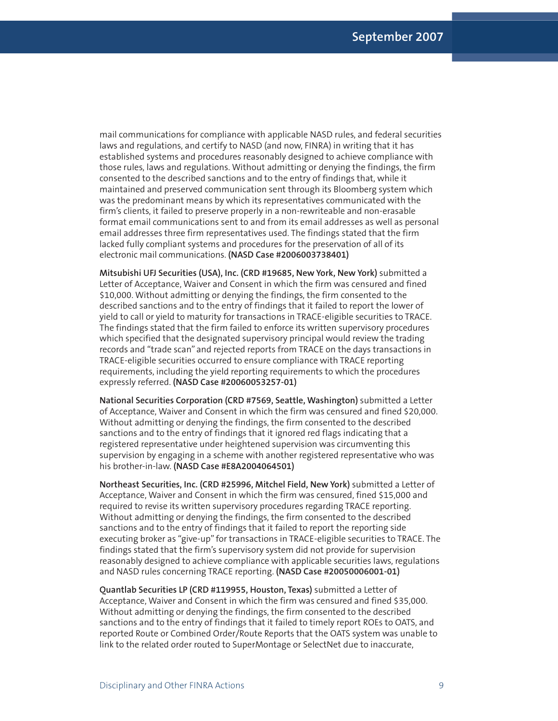mail communications for compliance with applicable NASD rules, and federal securities laws and regulations, and certify to NASD (and now, FINRA) in writing that it has established systems and procedures reasonably designed to achieve compliance with those rules, laws and regulations. Without admitting or denying the findings, the firm consented to the described sanctions and to the entry of findings that, while it maintained and preserved communication sent through its Bloomberg system which was the predominant means by which its representatives communicated with the firm's clients, it failed to preserve properly in a non-rewriteable and non-erasable format email communications sent to and from its email addresses as well as personal email addresses three firm representatives used. The findings stated that the firm lacked fully compliant systems and procedures for the preservation of all of its electronic mail communications. **(NASD Case #2006003738401)**

**Mitsubishi UFJ Securities (USA), Inc. (CRD #19685, New York, New York)** submitted a Letter of Acceptance, Waiver and Consent in which the firm was censured and fined \$10,000. Without admitting or denying the findings, the firm consented to the described sanctions and to the entry of findings that it failed to report the lower of yield to call or yield to maturity for transactions in TRACE-eligible securities to TRACE. The findings stated that the firm failed to enforce its written supervisory procedures which specified that the designated supervisory principal would review the trading records and "trade scan" and rejected reports from TRACE on the days transactions in TRACE-eligible securities occurred to ensure compliance with TRACE reporting requirements, including the yield reporting requirements to which the procedures expressly referred. **(NASD Case #20060053257-01)**

**National Securities Corporation (CRD #7569, Seattle, Washington)** submitted a Letter of Acceptance, Waiver and Consent in which the firm was censured and fined \$20,000. Without admitting or denying the findings, the firm consented to the described sanctions and to the entry of findings that it ignored red flags indicating that a registered representative under heightened supervision was circumventing this supervision by engaging in a scheme with another registered representative who was his brother-in-law. **(NASD Case #E8A2004064501)**

**Northeast Securities, Inc. (CRD #25996, Mitchel Field, New York)** submitted a Letter of Acceptance, Waiver and Consent in which the firm was censured, fined \$15,000 and required to revise its written supervisory procedures regarding TRACE reporting. Without admitting or denying the findings, the firm consented to the described sanctions and to the entry of findings that it failed to report the reporting side executing broker as "give-up" for transactions in TRACE-eligible securities to TRACE. The findings stated that the firm's supervisory system did not provide for supervision reasonably designed to achieve compliance with applicable securities laws, regulations and NASD rules concerning TRACE reporting. **(NASD Case #20050006001-01)**

**Quantlab Securities LP (CRD #119955, Houston, Texas)** submitted a Letter of Acceptance, Waiver and Consent in which the firm was censured and fined \$35,000. Without admitting or denying the findings, the firm consented to the described sanctions and to the entry of findings that it failed to timely report ROEs to OATS, and reported Route or Combined Order/Route Reports that the OATS system was unable to link to the related order routed to SuperMontage or SelectNet due to inaccurate,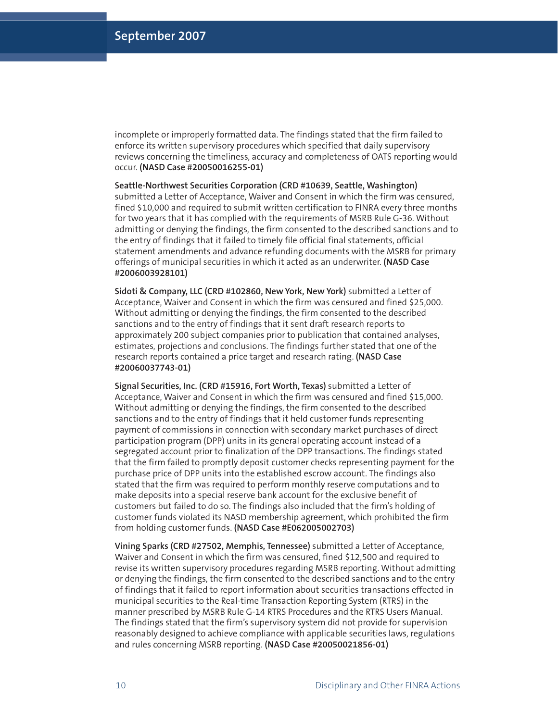incomplete or improperly formatted data. The findings stated that the firm failed to enforce its written supervisory procedures which specified that daily supervisory reviews concerning the timeliness, accuracy and completeness of OATS reporting would occur. **(NASD Case #20050016255-01)**

#### **Seattle-Northwest Securities Corporation (CRD #10639, Seattle, Washington)**

submitted a Letter of Acceptance, Waiver and Consent in which the firm was censured, fined \$10,000 and required to submit written certification to FINRA every three months for two years that it has complied with the requirements of MSRB Rule G-36. Without admitting or denying the findings, the firm consented to the described sanctions and to the entry of findings that it failed to timely file official final statements, official statement amendments and advance refunding documents with the MSRB for primary offerings of municipal securities in which it acted as an underwriter. **(NASD Case #2006003928101)**

**Sidoti & Company, LLC (CRD #102860, New York, New York)** submitted a Letter of Acceptance, Waiver and Consent in which the firm was censured and fined \$25,000. Without admitting or denying the findings, the firm consented to the described sanctions and to the entry of findings that it sent draft research reports to approximately 200 subject companies prior to publication that contained analyses, estimates, projections and conclusions. The findings further stated that one of the research reports contained a price target and research rating. **(NASD Case #20060037743-01)**

**Signal Securities, Inc. (CRD #15916, Fort Worth, Texas)** submitted a Letter of Acceptance, Waiver and Consent in which the firm was censured and fined \$15,000. Without admitting or denying the findings, the firm consented to the described sanctions and to the entry of findings that it held customer funds representing payment of commissions in connection with secondary market purchases of direct participation program (DPP) units in its general operating account instead of a segregated account prior to finalization of the DPP transactions. The findings stated that the firm failed to promptly deposit customer checks representing payment for the purchase price of DPP units into the established escrow account. The findings also stated that the firm was required to perform monthly reserve computations and to make deposits into a special reserve bank account for the exclusive benefit of customers but failed to do so. The findings also included that the firm's holding of customer funds violated its NASD membership agreement, which prohibited the firm from holding customer funds. **(NASD Case #E062005002703)**

**Vining Sparks (CRD #27502, Memphis, Tennessee)** submitted a Letter of Acceptance, Waiver and Consent in which the firm was censured, fined \$12,500 and required to revise its written supervisory procedures regarding MSRB reporting. Without admitting or denying the findings, the firm consented to the described sanctions and to the entry of findings that it failed to report information about securities transactions effected in municipal securities to the Real-time Transaction Reporting System (RTRS) in the manner prescribed by MSRB Rule G-14 RTRS Procedures and the RTRS Users Manual. The findings stated that the firm's supervisory system did not provide for supervision reasonably designed to achieve compliance with applicable securities laws, regulations and rules concerning MSRB reporting. **(NASD Case #20050021856-01)**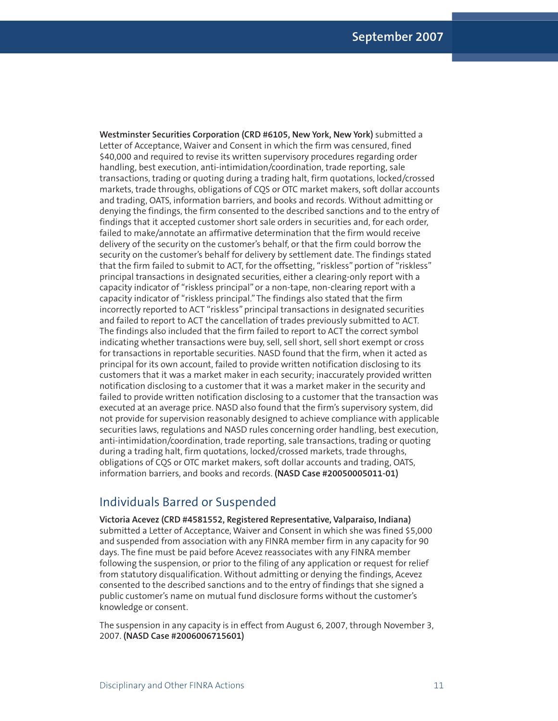**Westminster Securities Corporation (CRD #6105, New York, New York)** submitted a Letter of Acceptance, Waiver and Consent in which the firm was censured, fined \$40,000 and required to revise its written supervisory procedures regarding order handling, best execution, anti-intimidation/coordination, trade reporting, sale transactions, trading or quoting during a trading halt, firm quotations, locked/crossed markets, trade throughs, obligations of CQS or OTC market makers, soft dollar accounts and trading, OATS, information barriers, and books and records. Without admitting or denying the findings, the firm consented to the described sanctions and to the entry of findings that it accepted customer short sale orders in securities and, for each order, failed to make/annotate an affirmative determination that the firm would receive delivery of the security on the customer's behalf, or that the firm could borrow the security on the customer's behalf for delivery by settlement date. The findings stated that the firm failed to submit to ACT, for the offsetting, "riskless" portion of "riskless" principal transactions in designated securities, either a clearing-only report with a capacity indicator of "riskless principal" or a non-tape, non-clearing report with a capacity indicator of "riskless principal."The findings also stated that the firm incorrectly reported to ACT "riskless" principal transactions in designated securities and failed to report to ACT the cancellation of trades previously submitted to ACT. The findings also included that the firm failed to report to ACT the correct symbol indicating whether transactions were buy, sell, sell short, sell short exempt or cross for transactions in reportable securities. NASD found that the firm, when it acted as principal for its own account, failed to provide written notification disclosing to its customers that it was a market maker in each security; inaccurately provided written notification disclosing to a customer that it was a market maker in the security and failed to provide written notification disclosing to a customer that the transaction was executed at an average price. NASD also found that the firm's supervisory system, did not provide for supervision reasonably designed to achieve compliance with applicable securities laws, regulations and NASD rules concerning order handling, best execution, anti-intimidation/coordination, trade reporting, sale transactions, trading or quoting during a trading halt, firm quotations, locked/crossed markets, trade throughs, obligations of CQS or OTC market makers, soft dollar accounts and trading, OATS, information barriers, and books and records. **(NASD Case #20050005011-01)**

## Individuals Barred or Suspended

**Victoria Acevez (CRD #4581552, Registered Representative, Valparaiso, Indiana)** submitted a Letter of Acceptance, Waiver and Consent in which she was fined \$5,000 and suspended from association with any FINRA member firm in any capacity for 90 days. The fine must be paid before Acevez reassociates with any FINRA member following the suspension, or prior to the filing of any application or request for relief from statutory disqualification. Without admitting or denying the findings, Acevez consented to the described sanctions and to the entry of findings that she signed a public customer's name on mutual fund disclosure forms without the customer's knowledge or consent.

The suspension in any capacity is in effect from August 6, 2007, through November 3, 2007. **(NASD Case #2006006715601)**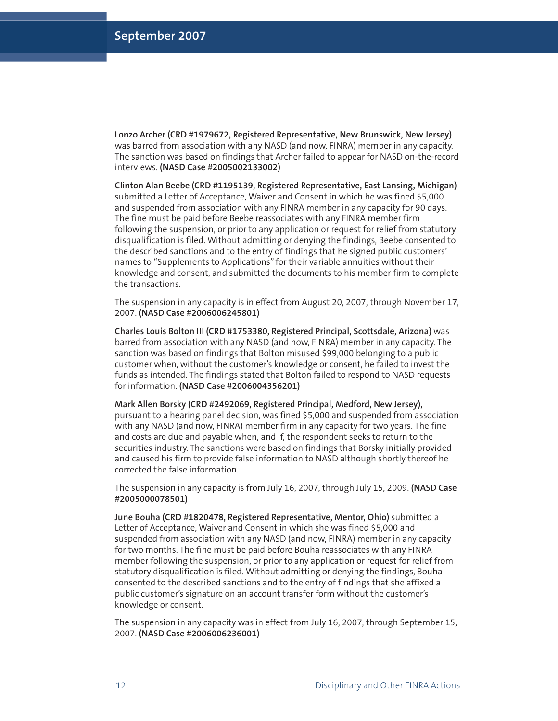**Lonzo Archer (CRD #1979672, Registered Representative, New Brunswick, New Jersey)** was barred from association with any NASD (and now, FINRA) member in any capacity. The sanction was based on findings that Archer failed to appear for NASD on-the-record interviews. **(NASD Case #2005002133002)**

**Clinton Alan Beebe (CRD #1195139, Registered Representative, East Lansing, Michigan)** submitted a Letter of Acceptance, Waiver and Consent in which he was fined \$5,000 and suspended from association with any FINRA member in any capacity for 90 days. The fine must be paid before Beebe reassociates with any FINRA member firm following the suspension, or prior to any application or request for relief from statutory disqualification is filed. Without admitting or denying the findings, Beebe consented to the described sanctions and to the entry of findings that he signed public customers' names to "Supplements to Applications" for their variable annuities without their knowledge and consent, and submitted the documents to his member firm to complete the transactions.

The suspension in any capacity is in effect from August 20, 2007, through November 17, 2007. **(NASD Case #2006006245801)**

**Charles Louis Bolton III (CRD #1753380, Registered Principal, Scottsdale, Arizona)** was barred from association with any NASD (and now, FINRA) member in any capacity. The sanction was based on findings that Bolton misused \$99,000 belonging to a public customer when, without the customer's knowledge or consent, he failed to invest the funds as intended. The findings stated that Bolton failed to respond to NASD requests for information. **(NASD Case #2006004356201)**

**Mark Allen Borsky (CRD #2492069, Registered Principal, Medford, New Jersey),** pursuant to a hearing panel decision, was fined \$5,000 and suspended from association with any NASD (and now, FINRA) member firm in any capacity for two years. The fine and costs are due and payable when, and if, the respondent seeks to return to the securities industry. The sanctions were based on findings that Borsky initially provided and caused his firm to provide false information to NASD although shortly thereof he corrected the false information.

The suspension in any capacity is from July 16, 2007, through July 15, 2009. **(NASD Case #2005000078501)**

**June Bouha (CRD #1820478, Registered Representative, Mentor, Ohio)** submitted a Letter of Acceptance, Waiver and Consent in which she was fined \$5,000 and suspended from association with any NASD (and now, FINRA) member in any capacity for two months. The fine must be paid before Bouha reassociates with any FINRA member following the suspension, or prior to any application or request for relief from statutory disqualification is filed. Without admitting or denying the findings, Bouha consented to the described sanctions and to the entry of findings that she affixed a public customer's signature on an account transfer form without the customer's knowledge or consent.

The suspension in any capacity was in effect from July 16, 2007, through September 15, 2007. **(NASD Case #2006006236001)**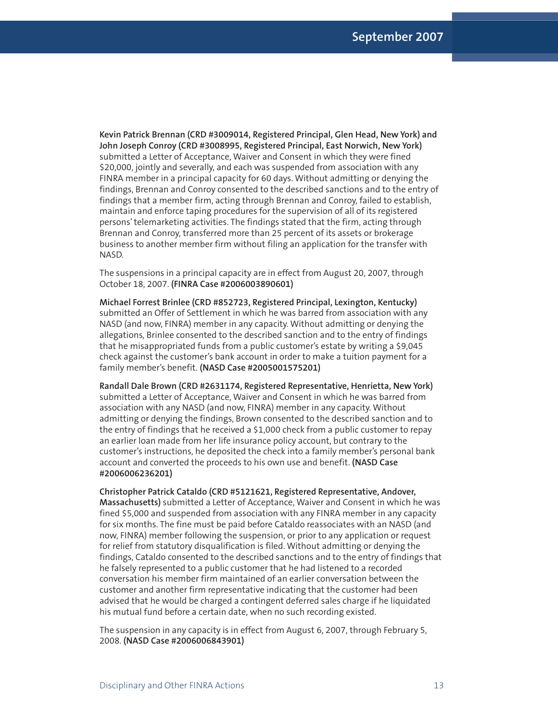**Kevin Patrick Brennan (CRD #3009014, Registered Principal, Glen Head, New York) and John Joseph Conroy (CRD #3008995, Registered Principal, East Norwich, New York)** submitted a Letter of Acceptance, Waiver and Consent in which they were fined \$20,000, jointly and severally, and each was suspended from association with any FINRA member in a principal capacity for 60 days. Without admitting or denying the findings, Brennan and Conroy consented to the described sanctions and to the entry of findings that a member firm, acting through Brennan and Conroy, failed to establish, maintain and enforce taping procedures for the supervision of all of its registered persons'telemarketing activities. The findings stated that the firm, acting through Brennan and Conroy, transferred more than 25 percent of its assets or brokerage business to another member firm without filing an application for the transfer with NASD.

The suspensions in a principal capacity are in effect from August 20, 2007, through October 18, 2007. **(FINRA Case #2006003890601)**

**Michael Forrest Brinlee (CRD #852723, Registered Principal, Lexington, Kentucky)** submitted an Offer of Settlement in which he was barred from association with any NASD (and now, FINRA) member in any capacity. Without admitting or denying the allegations, Brinlee consented to the described sanction and to the entry of findings that he misappropriated funds from a public customer's estate by writing a \$9,045 check against the customer's bank account in order to make a tuition payment for a family member's benefit. **(NASD Case #2005001575201)**

**Randall Dale Brown (CRD #2631174, Registered Representative, Henrietta, New York)** submitted a Letter of Acceptance, Waiver and Consent in which he was barred from association with any NASD (and now, FINRA) member in any capacity. Without admitting or denying the findings, Brown consented to the described sanction and to the entry of findings that he received a \$1,000 check from a public customer to repay an earlier loan made from her life insurance policy account, but contrary to the customer's instructions, he deposited the check into a family member's personal bank account and converted the proceeds to his own use and benefit. **(NASD Case #2006006236201)**

**Christopher Patrick Cataldo (CRD #5121621, Registered Representative, Andover, Massachusetts)** submitted a Letter of Acceptance, Waiver and Consent in which he was fined \$5,000 and suspended from association with any FINRA member in any capacity for six months. The fine must be paid before Cataldo reassociates with an NASD (and now, FINRA) member following the suspension, or prior to any application or request for relief from statutory disqualification is filed. Without admitting or denying the findings, Cataldo consented to the described sanctions and to the entry of findings that he falsely represented to a public customer that he had listened to a recorded conversation his member firm maintained of an earlier conversation between the customer and another firm representative indicating that the customer had been advised that he would be charged a contingent deferred sales charge if he liquidated his mutual fund before a certain date, when no such recording existed.

The suspension in any capacity is in effect from August 6, 2007, through February 5, 2008. **(NASD Case #2006006843901)**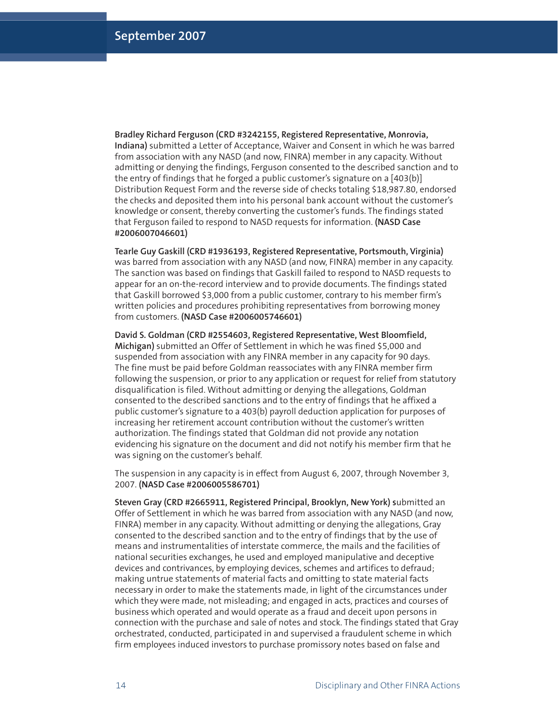**Bradley Richard Ferguson (CRD #3242155, Registered Representative, Monrovia, Indiana)** submitted a Letter of Acceptance, Waiver and Consent in which he was barred from association with any NASD (and now, FINRA) member in any capacity. Without admitting or denying the findings, Ferguson consented to the described sanction and to the entry of findings that he forged a public customer's signature on a [403(b)] Distribution Request Form and the reverse side of checks totaling \$18,987.80, endorsed the checks and deposited them into his personal bank account without the customer's knowledge or consent, thereby converting the customer's funds. The findings stated that Ferguson failed to respond to NASD requests for information. **(NASD Case #2006007046601)**

**Tearle Guy Gaskill (CRD #1936193, Registered Representative, Portsmouth, Virginia)** was barred from association with any NASD (and now, FINRA) member in any capacity. The sanction was based on findings that Gaskill failed to respond to NASD requests to appear for an on-the-record interview and to provide documents. The findings stated that Gaskill borrowed \$3,000 from a public customer, contrary to his member firm's written policies and procedures prohibiting representatives from borrowing money from customers. **(NASD Case #2006005746601)**

**David S. Goldman (CRD #2554603, Registered Representative, West Bloomfield, Michigan)** submitted an Offer of Settlement in which he was fined \$5,000 and suspended from association with any FINRA member in any capacity for 90 days. The fine must be paid before Goldman reassociates with any FINRA member firm following the suspension, or prior to any application or request for relief from statutory disqualification is filed. Without admitting or denying the allegations, Goldman consented to the described sanctions and to the entry of findings that he affixed a public customer's signature to a 403(b) payroll deduction application for purposes of increasing her retirement account contribution without the customer's written authorization. The findings stated that Goldman did not provide any notation evidencing his signature on the document and did not notify his member firm that he was signing on the customer's behalf.

The suspension in any capacity is in effect from August 6, 2007, through November 3, 2007. **(NASD Case #2006005586701)**

**Steven Gray (CRD #2665911, Registered Principal, Brooklyn, New York) s**ubmitted an Offer of Settlement in which he was barred from association with any NASD (and now, FINRA) member in any capacity. Without admitting or denying the allegations, Gray consented to the described sanction and to the entry of findings that by the use of means and instrumentalities of interstate commerce, the mails and the facilities of national securities exchanges, he used and employed manipulative and deceptive devices and contrivances, by employing devices, schemes and artifices to defraud; making untrue statements of material facts and omitting to state material facts necessary in order to make the statements made, in light of the circumstances under which they were made, not misleading; and engaged in acts, practices and courses of business which operated and would operate as a fraud and deceit upon persons in connection with the purchase and sale of notes and stock. The findings stated that Gray orchestrated, conducted, participated in and supervised a fraudulent scheme in which firm employees induced investors to purchase promissory notes based on false and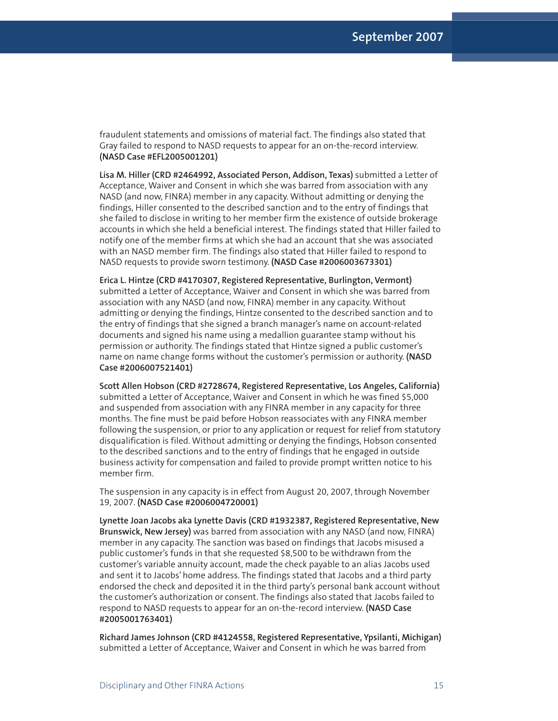fraudulent statements and omissions of material fact. The findings also stated that Gray failed to respond to NASD requests to appear for an on-the-record interview. **(NASD Case #EFL2005001201)**

**Lisa M. Hiller (CRD #2464992, Associated Person, Addison, Texas)** submitted a Letter of Acceptance, Waiver and Consent in which she was barred from association with any NASD (and now, FINRA) member in any capacity. Without admitting or denying the findings, Hiller consented to the described sanction and to the entry of findings that she failed to disclose in writing to her member firm the existence of outside brokerage accounts in which she held a beneficial interest. The findings stated that Hiller failed to notify one of the member firms at which she had an account that she was associated with an NASD member firm. The findings also stated that Hiller failed to respond to NASD requests to provide sworn testimony. **(NASD Case #2006003673301)**

**Erica L. Hintze (CRD #4170307, Registered Representative, Burlington, Vermont)** submitted a Letter of Acceptance, Waiver and Consent in which she was barred from association with any NASD (and now, FINRA) member in any capacity. Without admitting or denying the findings, Hintze consented to the described sanction and to the entry of findings that she signed a branch manager's name on account-related documents and signed his name using a medallion guarantee stamp without his permission or authority. The findings stated that Hintze signed a public customer's name on name change forms without the customer's permission or authority. **(NASD Case #2006007521401)**

**Scott Allen Hobson (CRD #2728674, Registered Representative, Los Angeles, California)** submitted a Letter of Acceptance, Waiver and Consent in which he was fined \$5,000 and suspended from association with any FINRA member in any capacity for three months. The fine must be paid before Hobson reassociates with any FINRA member following the suspension, or prior to any application or request for relief from statutory disqualification is filed. Without admitting or denying the findings, Hobson consented to the described sanctions and to the entry of findings that he engaged in outside business activity for compensation and failed to provide prompt written notice to his member firm.

The suspension in any capacity is in effect from August 20, 2007, through November 19, 2007. **(NASD Case #2006004720001)**

**Lynette Joan Jacobs aka Lynette Davis (CRD #1932387, Registered Representative, New Brunswick, New Jersey)** was barred from association with any NASD (and now, FINRA) member in any capacity. The sanction was based on findings that Jacobs misused a public customer's funds in that she requested \$8,500 to be withdrawn from the customer's variable annuity account, made the check payable to an alias Jacobs used and sent it to Jacobs' home address. The findings stated that Jacobs and a third party endorsed the check and deposited it in the third party's personal bank account without the customer's authorization or consent. The findings also stated that Jacobs failed to respond to NASD requests to appear for an on-the-record interview. **(NASD Case #2005001763401)**

**Richard James Johnson (CRD #4124558, Registered Representative, Ypsilanti, Michigan)** submitted a Letter of Acceptance, Waiver and Consent in which he was barred from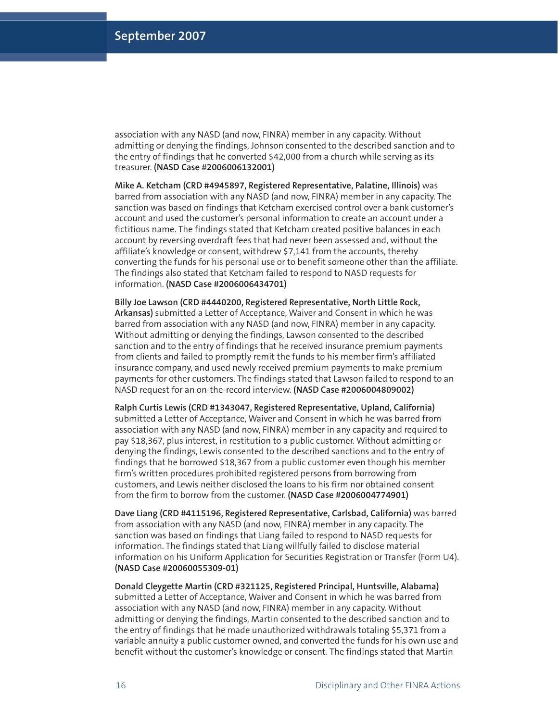association with any NASD (and now, FINRA) member in any capacity. Without admitting or denying the findings, Johnson consented to the described sanction and to the entry of findings that he converted \$42,000 from a church while serving as its treasurer. **(NASD Case #2006006132001)**

**Mike A. Ketcham (CRD #4945897, Registered Representative, Palatine, Illinois)** was barred from association with any NASD (and now, FINRA) member in any capacity. The sanction was based on findings that Ketcham exercised control over a bank customer's account and used the customer's personal information to create an account under a fictitious name. The findings stated that Ketcham created positive balances in each account by reversing overdraft fees that had never been assessed and, without the affiliate's knowledge or consent, withdrew \$7,141 from the accounts, thereby converting the funds for his personal use or to benefit someone other than the affiliate. The findings also stated that Ketcham failed to respond to NASD requests for information. **(NASD Case #2006006434701)**

**Billy Joe Lawson (CRD #4440200, Registered Representative, North Little Rock, Arkansas)** submitted a Letter of Acceptance, Waiver and Consent in which he was barred from association with any NASD (and now, FINRA) member in any capacity. Without admitting or denying the findings, Lawson consented to the described sanction and to the entry of findings that he received insurance premium payments from clients and failed to promptly remit the funds to his member firm's affiliated insurance company, and used newly received premium payments to make premium payments for other customers. The findings stated that Lawson failed to respond to an NASD request for an on-the-record interview. **(NASD Case #2006004809002)**

**Ralph Curtis Lewis (CRD #1343047, Registered Representative, Upland, California)** submitted a Letter of Acceptance, Waiver and Consent in which he was barred from association with any NASD (and now, FINRA) member in any capacity and required to pay \$18,367, plus interest, in restitution to a public customer. Without admitting or denying the findings, Lewis consented to the described sanctions and to the entry of findings that he borrowed \$18,367 from a public customer even though his member firm's written procedures prohibited registered persons from borrowing from customers, and Lewis neither disclosed the loans to his firm nor obtained consent from the firm to borrow from the customer. **(NASD Case #2006004774901)**

**Dave Liang (CRD #4115196, Registered Representative, Carlsbad, California)** was barred from association with any NASD (and now, FINRA) member in any capacity. The sanction was based on findings that Liang failed to respond to NASD requests for information. The findings stated that Liang willfully failed to disclose material information on his Uniform Application for Securities Registration or Transfer (Form U4). **(NASD Case #20060055309-01)**

**Donald Cleygette Martin (CRD #321125, Registered Principal, Huntsville, Alabama)** submitted a Letter of Acceptance, Waiver and Consent in which he was barred from association with any NASD (and now, FINRA) member in any capacity. Without admitting or denying the findings, Martin consented to the described sanction and to the entry of findings that he made unauthorized withdrawals totaling \$5,371 from a variable annuity a public customer owned, and converted the funds for his own use and benefit without the customer's knowledge or consent. The findings stated that Martin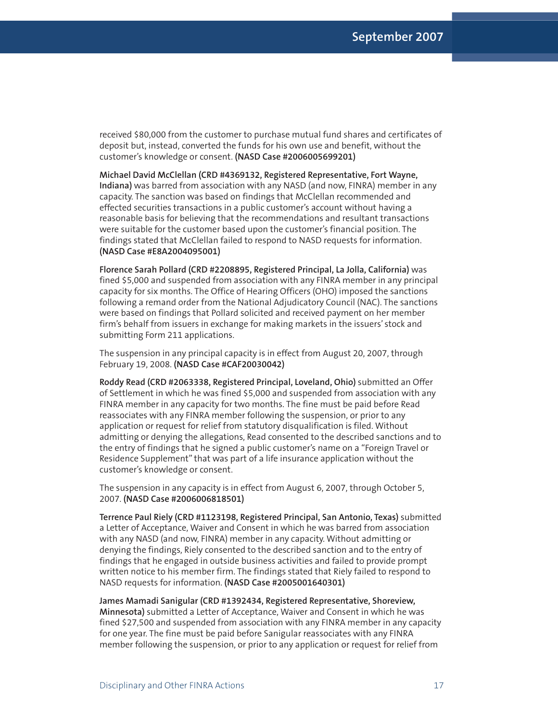received \$80,000 from the customer to purchase mutual fund shares and certificates of deposit but, instead, converted the funds for his own use and benefit, without the customer's knowledge or consent. **(NASD Case #2006005699201)**

**Michael David McClellan (CRD #4369132, Registered Representative, Fort Wayne, Indiana)** was barred from association with any NASD (and now, FINRA) member in any capacity. The sanction was based on findings that McClellan recommended and effected securities transactions in a public customer's account without having a reasonable basis for believing that the recommendations and resultant transactions were suitable for the customer based upon the customer's financial position. The findings stated that McClellan failed to respond to NASD requests for information. **(NASD Case #E8A2004095001)**

**Florence Sarah Pollard (CRD #2208895, Registered Principal, La Jolla, California)** was fined \$5,000 and suspended from association with any FINRA member in any principal capacity for six months. The Office of Hearing Officers (OHO) imposed the sanctions following a remand order from the National Adjudicatory Council (NAC). The sanctions were based on findings that Pollard solicited and received payment on her member firm's behalf from issuers in exchange for making markets in the issuers' stock and submitting Form 211 applications.

The suspension in any principal capacity is in effect from August 20, 2007, through February 19, 2008. **(NASD Case #CAF20030042)**

**Roddy Read (CRD #2063338, Registered Principal, Loveland, Ohio)** submitted an Offer of Settlement in which he was fined \$5,000 and suspended from association with any FINRA member in any capacity for two months. The fine must be paid before Read reassociates with any FINRA member following the suspension, or prior to any application or request for relief from statutory disqualification is filed. Without admitting or denying the allegations, Read consented to the described sanctions and to the entry of findings that he signed a public customer's name on a "Foreign Travel or Residence Supplement" that was part of a life insurance application without the customer's knowledge or consent.

The suspension in any capacity is in effect from August 6, 2007, through October 5, 2007. **(NASD Case #2006006818501)**

**Terrence Paul Riely (CRD #1123198, Registered Principal, San Antonio, Texas)** submitted a Letter of Acceptance, Waiver and Consent in which he was barred from association with any NASD (and now, FINRA) member in any capacity. Without admitting or denying the findings, Riely consented to the described sanction and to the entry of findings that he engaged in outside business activities and failed to provide prompt written notice to his member firm. The findings stated that Riely failed to respond to NASD requests for information. **(NASD Case #2005001640301)**

**James Mamadi Sanigular (CRD #1392434, Registered Representative, Shoreview, Minnesota)** submitted a Letter of Acceptance, Waiver and Consent in which he was fined \$27,500 and suspended from association with any FINRA member in any capacity for one year. The fine must be paid before Sanigular reassociates with any FINRA member following the suspension, or prior to any application or request for relief from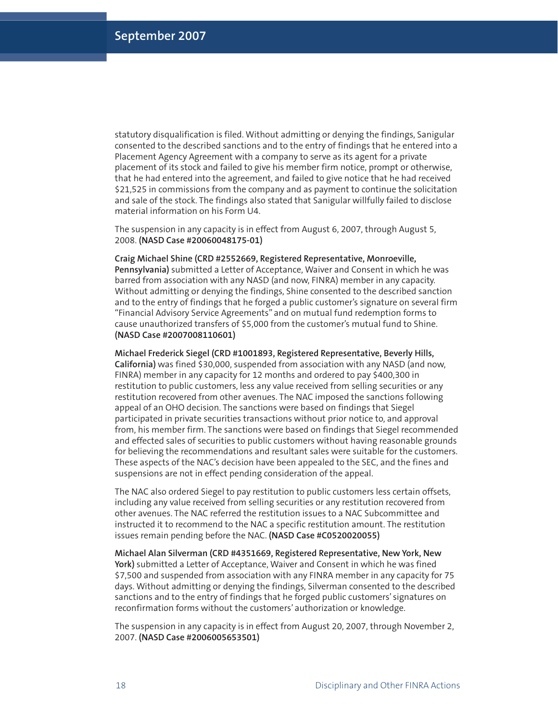statutory disqualification is filed. Without admitting or denying the findings, Sanigular consented to the described sanctions and to the entry of findings that he entered into a Placement Agency Agreement with a company to serve as its agent for a private placement of its stock and failed to give his member firm notice, prompt or otherwise, that he had entered into the agreement, and failed to give notice that he had received \$21,525 in commissions from the company and as payment to continue the solicitation and sale of the stock. The findings also stated that Sanigular willfully failed to disclose material information on his Form U4.

The suspension in any capacity is in effect from August 6, 2007, through August 5, 2008. **(NASD Case #20060048175-01)**

**Craig Michael Shine (CRD #2552669, Registered Representative, Monroeville, Pennsylvania)** submitted a Letter of Acceptance, Waiver and Consent in which he was barred from association with any NASD (and now, FINRA) member in any capacity. Without admitting or denying the findings, Shine consented to the described sanction and to the entry of findings that he forged a public customer's signature on several firm "Financial Advisory Service Agreements" and on mutual fund redemption forms to cause unauthorized transfers of \$5,000 from the customer's mutual fund to Shine. **(NASD Case #2007008110601)**

**Michael Frederick Siegel (CRD #1001893, Registered Representative, Beverly Hills, California)** was fined \$30,000, suspended from association with any NASD (and now, FINRA) member in any capacity for 12 months and ordered to pay \$400,300 in restitution to public customers, less any value received from selling securities or any restitution recovered from other avenues. The NAC imposed the sanctions following appeal of an OHO decision. The sanctions were based on findings that Siegel participated in private securities transactions without prior notice to, and approval from, his member firm. The sanctions were based on findings that Siegel recommended and effected sales of securities to public customers without having reasonable grounds for believing the recommendations and resultant sales were suitable for the customers. These aspects of the NAC's decision have been appealed to the SEC, and the fines and suspensions are not in effect pending consideration of the appeal.

The NAC also ordered Siegel to pay restitution to public customers less certain offsets, including any value received from selling securities or any restitution recovered from other avenues. The NAC referred the restitution issues to a NAC Subcommittee and instructed it to recommend to the NAC a specific restitution amount. The restitution issues remain pending before the NAC. **(NASD Case #C0520020055)**

**Michael Alan Silverman (CRD #4351669, Registered Representative, New York, New York)** submitted a Letter of Acceptance, Waiver and Consent in which he was fined \$7,500 and suspended from association with any FINRA member in any capacity for 75 days. Without admitting or denying the findings, Silverman consented to the described sanctions and to the entry of findings that he forged public customers' signatures on reconfirmation forms without the customers' authorization or knowledge.

The suspension in any capacity is in effect from August 20, 2007, through November 2, 2007. **(NASD Case #2006005653501)**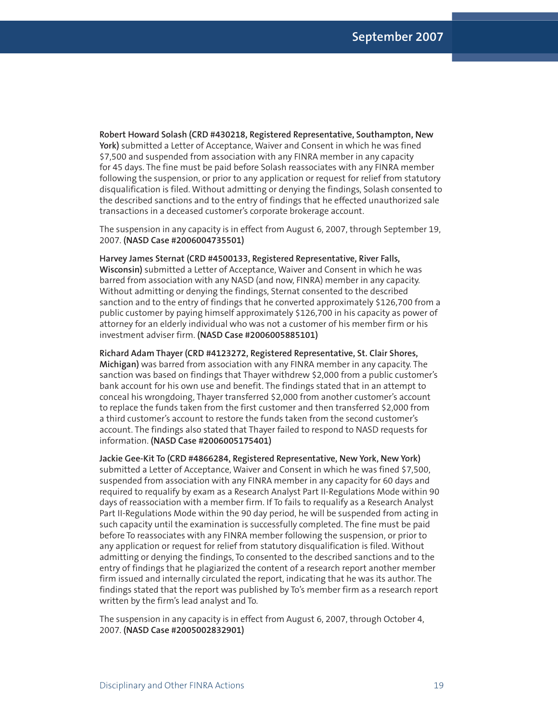**Robert Howard Solash (CRD #430218, Registered Representative, Southampton, New York)** submitted a Letter of Acceptance, Waiver and Consent in which he was fined \$7,500 and suspended from association with any FINRA member in any capacity for 45 days. The fine must be paid before Solash reassociates with any FINRA member following the suspension, or prior to any application or request for relief from statutory disqualification is filed. Without admitting or denying the findings, Solash consented to the described sanctions and to the entry of findings that he effected unauthorized sale transactions in a deceased customer's corporate brokerage account.

The suspension in any capacity is in effect from August 6, 2007, through September 19, 2007. **(NASD Case #2006004735501)**

**Harvey James Sternat (CRD #4500133, Registered Representative, River Falls, Wisconsin)** submitted a Letter of Acceptance, Waiver and Consent in which he was barred from association with any NASD (and now, FINRA) member in any capacity. Without admitting or denying the findings, Sternat consented to the described sanction and to the entry of findings that he converted approximately \$126,700 from a public customer by paying himself approximately \$126,700 in his capacity as power of attorney for an elderly individual who was not a customer of his member firm or his investment adviser firm. **(NASD Case #2006005885101)**

**Richard Adam Thayer (CRD #4123272, Registered Representative, St. Clair Shores, Michigan)** was barred from association with any FINRA member in any capacity. The sanction was based on findings that Thayer withdrew \$2,000 from a public customer's bank account for his own use and benefit. The findings stated that in an attempt to conceal his wrongdoing, Thayer transferred \$2,000 from another customer's account to replace the funds taken from the first customer and then transferred \$2,000 from a third customer's account to restore the funds taken from the second customer's account. The findings also stated that Thayer failed to respond to NASD requests for information. **(NASD Case #2006005175401)**

**Jackie Gee-Kit To (CRD #4866284, Registered Representative, New York, New York)** submitted a Letter of Acceptance, Waiver and Consent in which he was fined \$7,500, suspended from association with any FINRA member in any capacity for 60 days and required to requalify by exam as a Research Analyst Part II-Regulations Mode within 90 days of reassociation with a member firm. If To fails to requalify as a Research Analyst Part II-Regulations Mode within the 90 day period, he will be suspended from acting in such capacity until the examination is successfully completed. The fine must be paid before To reassociates with any FINRA member following the suspension, or prior to any application or request for relief from statutory disqualification is filed. Without admitting or denying the findings, To consented to the described sanctions and to the entry of findings that he plagiarized the content of a research report another member firm issued and internally circulated the report, indicating that he was its author. The findings stated that the report was published by To's member firm as a research report written by the firm's lead analyst and To.

The suspension in any capacity is in effect from August 6, 2007, through October 4, 2007. **(NASD Case #2005002832901)**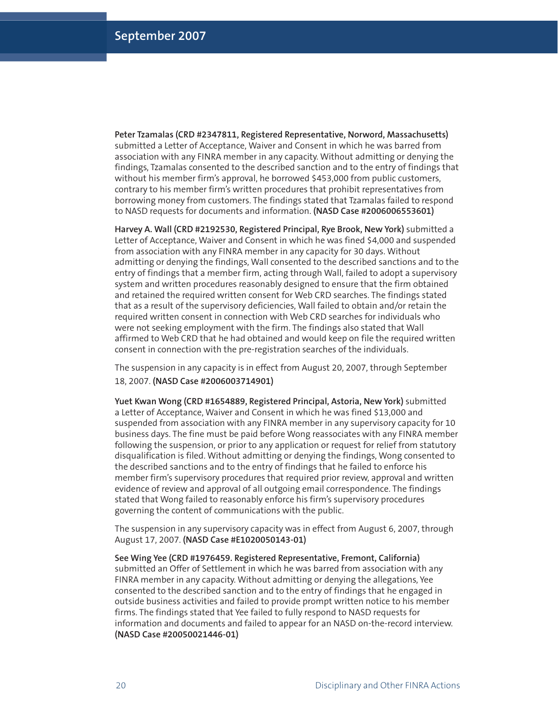**Peter Tzamalas (CRD #2347811, Registered Representative, Norword, Massachusetts)** submitted a Letter of Acceptance, Waiver and Consent in which he was barred from association with any FINRA member in any capacity. Without admitting or denying the findings, Tzamalas consented to the described sanction and to the entry of findings that without his member firm's approval, he borrowed \$453,000 from public customers, contrary to his member firm's written procedures that prohibit representatives from borrowing money from customers. The findings stated that Tzamalas failed to respond to NASD requests for documents and information. **(NASD Case #2006006553601)**

**Harvey A. Wall (CRD #2192530, Registered Principal, Rye Brook, New York)** submitted a Letter of Acceptance, Waiver and Consent in which he was fined \$4,000 and suspended from association with any FINRA member in any capacity for 30 days. Without admitting or denying the findings, Wall consented to the described sanctions and to the entry of findings that a member firm, acting through Wall, failed to adopt a supervisory system and written procedures reasonably designed to ensure that the firm obtained and retained the required written consent for Web CRD searches. The findings stated that as a result of the supervisory deficiencies, Wall failed to obtain and/or retain the required written consent in connection with Web CRD searches for individuals who were not seeking employment with the firm. The findings also stated that Wall affirmed to Web CRD that he had obtained and would keep on file the required written consent in connection with the pre-registration searches of the individuals.

The suspension in any capacity is in effect from August 20, 2007, through September 18, 2007. **(NASD Case #2006003714901)**

**Yuet Kwan Wong (CRD #1654889, Registered Principal, Astoria, New York)** submitted a Letter of Acceptance, Waiver and Consent in which he was fined \$13,000 and suspended from association with any FINRA member in any supervisory capacity for 10 business days. The fine must be paid before Wong reassociates with any FINRA member following the suspension, or prior to any application or request for relief from statutory disqualification is filed. Without admitting or denying the findings, Wong consented to the described sanctions and to the entry of findings that he failed to enforce his member firm's supervisory procedures that required prior review, approval and written evidence of review and approval of all outgoing email correspondence. The findings stated that Wong failed to reasonably enforce his firm's supervisory procedures governing the content of communications with the public.

The suspension in any supervisory capacity was in effect from August 6, 2007, through August 17, 2007. **(NASD Case #E1020050143-01)**

**See Wing Yee (CRD #1976459. Registered Representative, Fremont, California)** submitted an Offer of Settlement in which he was barred from association with any FINRA member in any capacity. Without admitting or denying the allegations, Yee consented to the described sanction and to the entry of findings that he engaged in outside business activities and failed to provide prompt written notice to his member firms. The findings stated that Yee failed to fully respond to NASD requests for information and documents and failed to appear for an NASD on-the-record interview. **(NASD Case #20050021446-01)**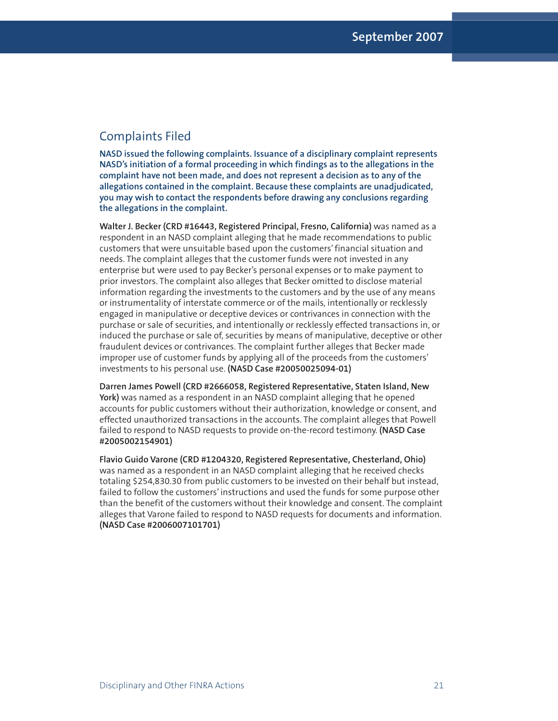# Complaints Filed

**NASD issued the following complaints. Issuance of a disciplinary complaint represents NASD's initiation of a formal proceeding in which findings as to the allegations in the complaint have not been made, and does not represent a decision as to any of the allegations contained in the complaint. Because these complaints are unadjudicated, you may wish to contact the respondents before drawing any conclusions regarding the allegations in the complaint.**

**Walter J. Becker (CRD #16443, Registered Principal, Fresno, California)** was named as a respondent in an NASD complaint alleging that he made recommendations to public customers that were unsuitable based upon the customers'financial situation and needs. The complaint alleges that the customer funds were not invested in any enterprise but were used to pay Becker's personal expenses or to make payment to prior investors. The complaint also alleges that Becker omitted to disclose material information regarding the investments to the customers and by the use of any means or instrumentality of interstate commerce or of the mails, intentionally or recklessly engaged in manipulative or deceptive devices or contrivances in connection with the purchase or sale of securities, and intentionally or recklessly effected transactions in, or induced the purchase or sale of, securities by means of manipulative, deceptive or other fraudulent devices or contrivances. The complaint further alleges that Becker made improper use of customer funds by applying all of the proceeds from the customers' investments to his personal use. **(NASD Case #20050025094-01)**

**Darren James Powell (CRD #2666058, Registered Representative, Staten Island, New York)** was named as a respondent in an NASD complaint alleging that he opened accounts for public customers without their authorization, knowledge or consent, and effected unauthorized transactions in the accounts. The complaint alleges that Powell failed to respond to NASD requests to provide on-the-record testimony. **(NASD Case #2005002154901)**

**Flavio Guido Varone (CRD #1204320, Registered Representative, Chesterland, Ohio)** was named as a respondent in an NASD complaint alleging that he received checks totaling \$254,830.30 from public customers to be invested on their behalf but instead, failed to follow the customers' instructions and used the funds for some purpose other than the benefit of the customers without their knowledge and consent. The complaint alleges that Varone failed to respond to NASD requests for documents and information. **(NASD Case #2006007101701)**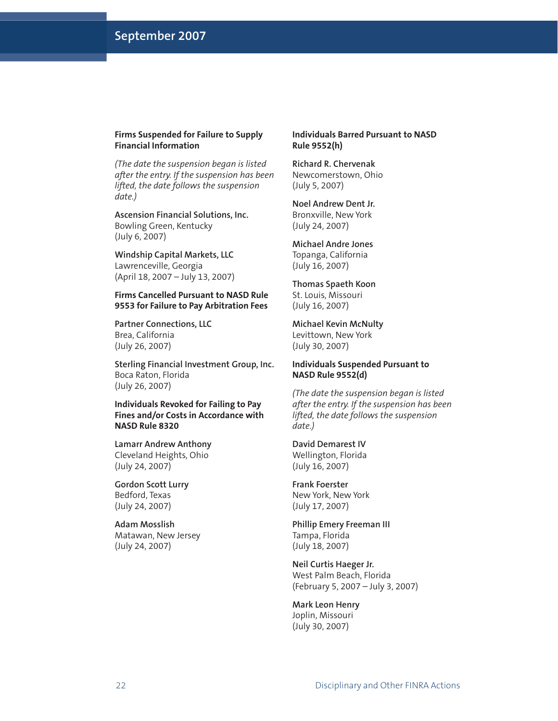## **September 2007**

#### **Firms Suspended for Failure to Supply Financial Information**

*(The date the suspension began is listed after the entry. If the suspension has been lifted, the date follows the suspension date.)*

**Ascension Financial Solutions, Inc.** Bowling Green, Kentucky (July 6, 2007)

**Windship Capital Markets, LLC** Lawrenceville, Georgia (April 18, 2007 – July 13, 2007)

### **Firms Cancelled Pursuant to NASD Rule 9553 for Failure to Pay Arbitration Fees**

**Partner Connections, LLC** Brea, California (July 26, 2007)

**Sterling Financial Investment Group, Inc.** Boca Raton, Florida (July 26, 2007)

**Individuals Revoked for Failing to Pay Fines and/or Costs in Accordance with NASD Rule 8320**

**Lamarr Andrew Anthony** Cleveland Heights, Ohio (July 24, 2007)

**Gordon Scott Lurry** Bedford, Texas (July 24, 2007)

**Adam Mosslish** Matawan, New Jersey (July 24, 2007)

#### **Individuals Barred Pursuant to NASD Rule 9552(h)**

**Richard R. Chervenak** Newcomerstown, Ohio (July 5, 2007)

#### **Noel Andrew Dent Jr.** Bronxville, New York

(July 24, 2007)

#### **Michael Andre Jones** Topanga, California (July 16, 2007)

**Thomas Spaeth Koon** St. Louis, Missouri (July 16, 2007)

**Michael Kevin McNulty** Levittown, New York (July 30, 2007)

#### **Individuals Suspended Pursuant to NASD Rule 9552(d)**

*(The date the suspension began is listed after the entry. If the suspension has been lifted, the date follows the suspension date.)*

**David Demarest IV** Wellington, Florida (July 16, 2007)

**Frank Foerster** New York, New York (July 17, 2007)

**Phillip Emery Freeman III** Tampa, Florida (July 18, 2007)

**Neil Curtis Haeger Jr.** West Palm Beach, Florida (February 5, 2007 – July 3, 2007)

**Mark Leon Henry** Joplin, Missouri (July 30, 2007)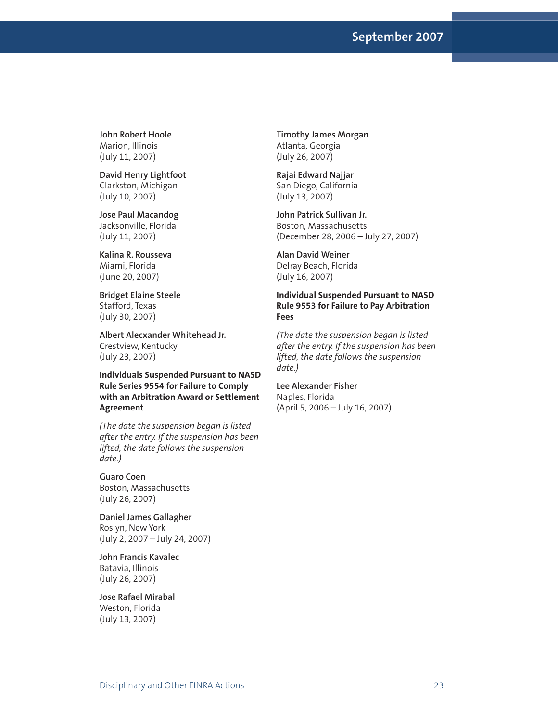## **September 2007**

**John Robert Hoole** Marion, Illinois (July 11, 2007)

**David Henry Lightfoot** Clarkston, Michigan (July 10, 2007)

**Jose Paul Macandog** Jacksonville, Florida (July 11, 2007)

**Kalina R. Rousseva** Miami, Florida (June 20, 2007)

**Bridget Elaine Steele** Stafford, Texas (July 30, 2007)

**Albert Alecxander Whitehead Jr.** Crestview, Kentucky (July 23, 2007)

**Individuals Suspended Pursuant to NASD Rule Series 9554 for Failure to Comply with an Arbitration Award or Settlement Agreement**

*(The date the suspension began is listed after the entry. If the suspension has been lifted, the date follows the suspension date.)*

**Guaro Coen** Boston, Massachusetts (July 26, 2007)

**Daniel James Gallagher** Roslyn, New York (July 2, 2007 – July 24, 2007)

**John Francis Kavalec** Batavia, Illinois (July 26, 2007)

**Jose Rafael Mirabal** Weston, Florida (July 13, 2007)

**Timothy James Morgan** Atlanta, Georgia (July 26, 2007)

**Rajai Edward Najjar** San Diego, California (July 13, 2007)

**John Patrick Sullivan Jr.** Boston, Massachusetts (December 28, 2006 – July 27, 2007)

**Alan David Weiner** Delray Beach, Florida (July 16, 2007)

**Individual Suspended Pursuant to NASD Rule 9553 for Failure to Pay Arbitration Fees**

*(The date the suspension began is listed after the entry. If the suspension has been lifted, the date follows the suspension date.)*

**Lee Alexander Fisher** Naples, Florida (April 5, 2006 – July 16, 2007)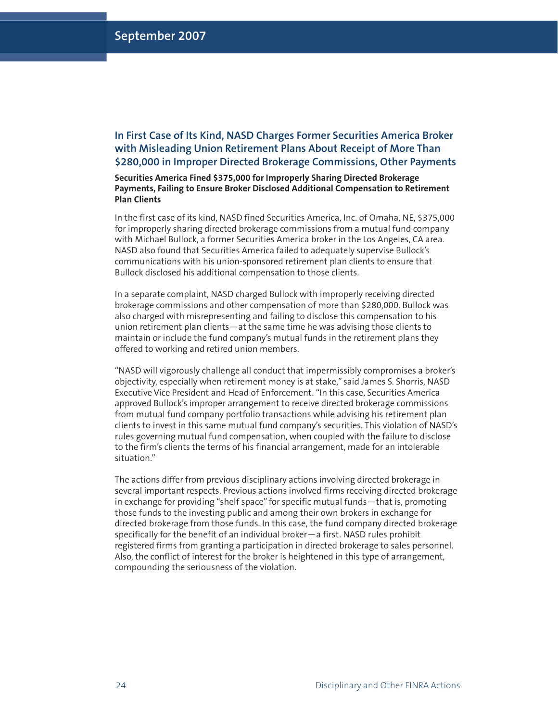## **In First Case of Its Kind, NASD Charges Former Securities America Broker with Misleading Union Retirement Plans About Receipt of More Than \$280,000 in Improper Directed Brokerage Commissions, Other Payments**

#### **Securities America Fined \$375,000 for Improperly Sharing Directed Brokerage Payments, Failing to Ensure Broker Disclosed Additional Compensation to Retirement Plan Clients**

In the first case of its kind, NASD fined Securities America, Inc. of Omaha, NE, \$375,000 for improperly sharing directed brokerage commissions from a mutual fund company with Michael Bullock, a former Securities America broker in the Los Angeles, CA area. NASD also found that Securities America failed to adequately supervise Bullock's communications with his union-sponsored retirement plan clients to ensure that Bullock disclosed his additional compensation to those clients.

In a separate complaint, NASD charged Bullock with improperly receiving directed brokerage commissions and other compensation of more than \$280,000. Bullock was also charged with misrepresenting and failing to disclose this compensation to his union retirement plan clients—at the same time he was advising those clients to maintain or include the fund company's mutual funds in the retirement plans they offered to working and retired union members.

"NASD will vigorously challenge all conduct that impermissibly compromises a broker's objectivity, especially when retirement money is at stake," said James S. Shorris, NASD Executive Vice President and Head of Enforcement. "In this case, Securities America approved Bullock's improper arrangement to receive directed brokerage commissions from mutual fund company portfolio transactions while advising his retirement plan clients to invest in this same mutual fund company's securities. This violation of NASD's rules governing mutual fund compensation, when coupled with the failure to disclose to the firm's clients the terms of his financial arrangement, made for an intolerable situation."

The actions differ from previous disciplinary actions involving directed brokerage in several important respects. Previous actions involved firms receiving directed brokerage in exchange for providing "shelf space" for specific mutual funds—that is, promoting those funds to the investing public and among their own brokers in exchange for directed brokerage from those funds. In this case, the fund company directed brokerage specifically for the benefit of an individual broker—a first. NASD rules prohibit registered firms from granting a participation in directed brokerage to sales personnel. Also, the conflict of interest for the broker is heightened in this type of arrangement, compounding the seriousness of the violation.